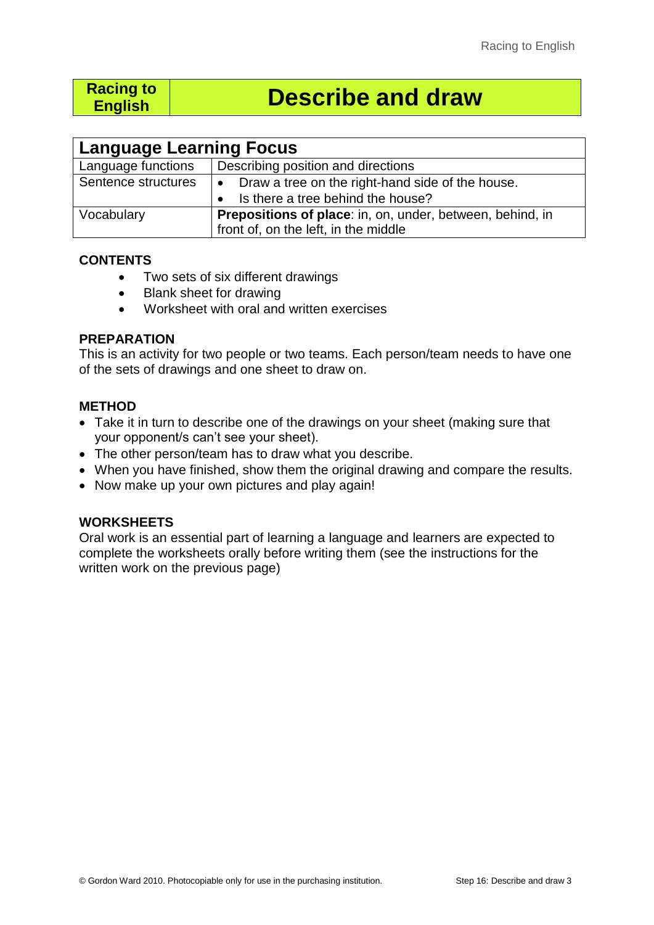# **Racing to**

# **English Describe and draw**

| <b>Language Learning Focus</b> |                                                                  |  |  |  |  |
|--------------------------------|------------------------------------------------------------------|--|--|--|--|
| Language functions             | Describing position and directions                               |  |  |  |  |
| Sentence structures            | • Draw a tree on the right-hand side of the house.               |  |  |  |  |
|                                | • Is there a tree behind the house?                              |  |  |  |  |
| Vocabulary                     | <b>Prepositions of place:</b> in, on, under, between, behind, in |  |  |  |  |
|                                | front of, on the left, in the middle                             |  |  |  |  |

### **CONTENTS**

- Two sets of six different drawings
- Blank sheet for drawing
- Worksheet with oral and written exercises

#### **PREPARATION**

This is an activity for two people or two teams. Each person/team needs to have one of the sets of drawings and one sheet to draw on.

### **METHOD**

- Take it in turn to describe one of the drawings on your sheet (making sure that your opponent/s can't see your sheet).
- The other person/team has to draw what you describe.
- When you have finished, show them the original drawing and compare the results.
- Now make up your own pictures and play again!

## **WORKSHEETS**

Oral work is an essential part of learning a language and learners are expected to complete the worksheets orally before writing them (see the instructions for the written work on the previous page)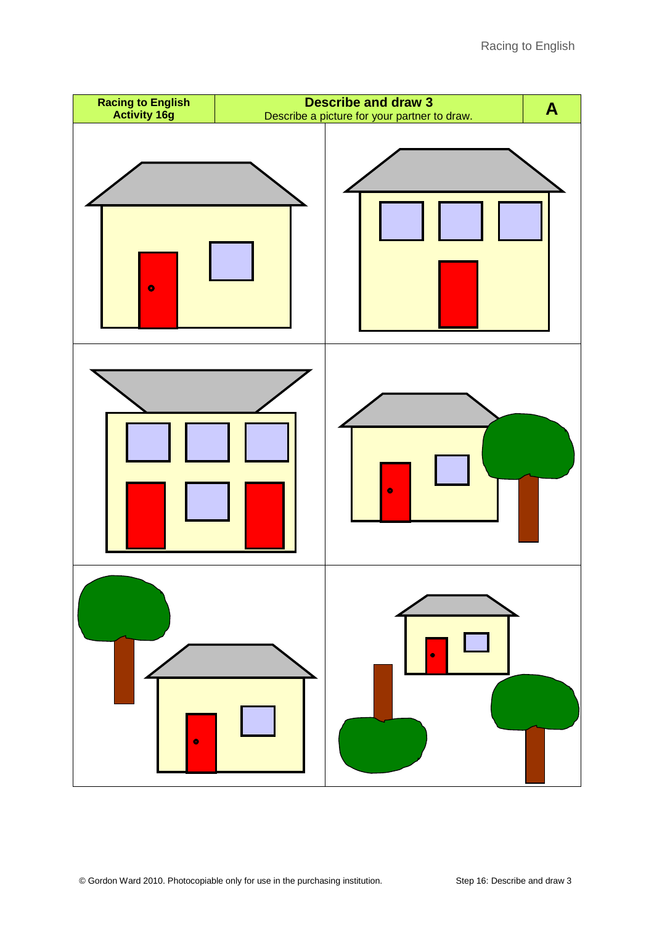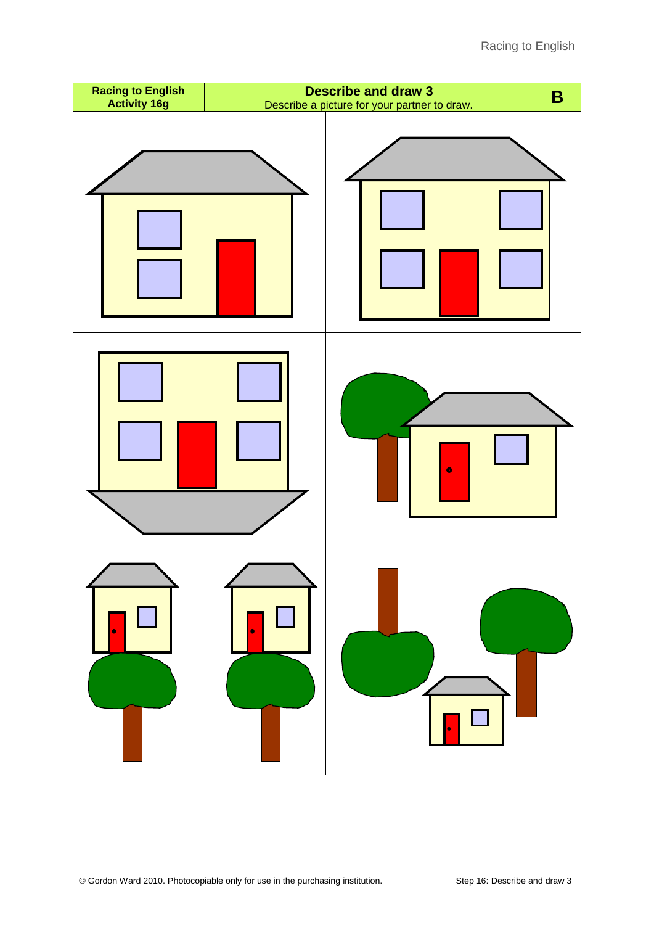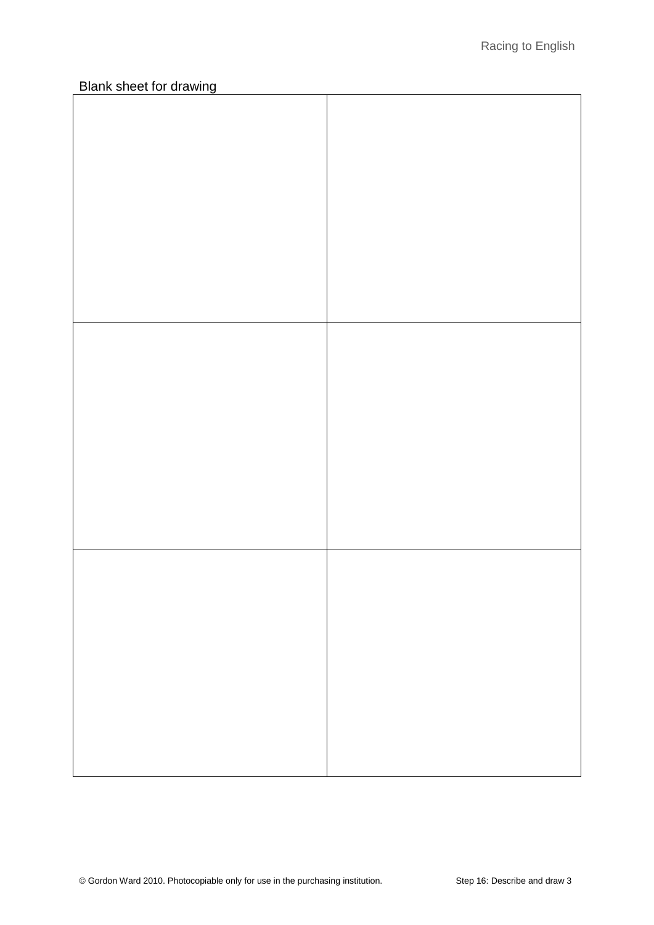┑

# **Blank sheet for drawing**

T